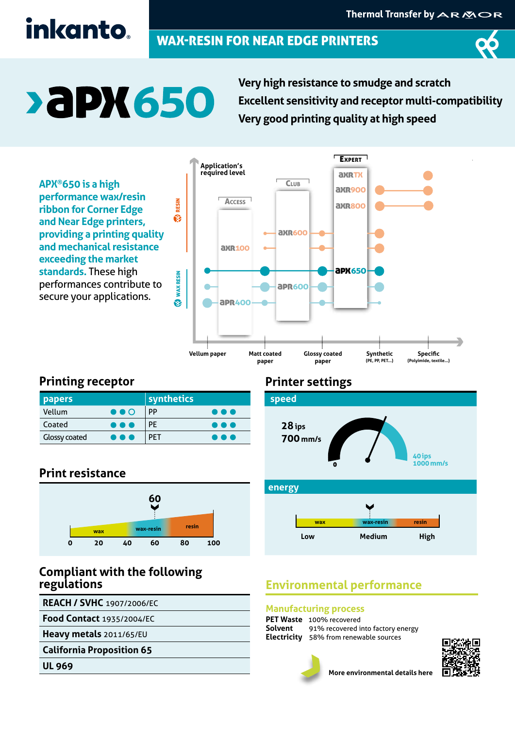# inkanto.

# WAX-RESIN FOR NEAR EDGE PRINTERS



# **>aPX650**

**Very high resistance to smudge and scratch Excellent sensitivity and receptor multi-compatibility Very good printing quality at high speed** 

**APX®650 is a high performance wax/resin ribbon for Corner Edge and Near Edge printers, providing a printing quality and mechanical resistance exceeding the market standards.** These high performances contribute to secure your applications.



### **Printing receptor**

| <b>papers</b>        |                         | synthetics |                         |
|----------------------|-------------------------|------------|-------------------------|
| Vellum               | $\bullet\bullet\circ$   | PP         | $\bullet\bullet\bullet$ |
| Coated               | $\bullet\bullet\bullet$ | <b>PE</b>  | .                       |
| <b>Glossy coated</b> | $\bullet\bullet\bullet$ | <b>PFT</b> | .                       |

### **Print resistance**



#### **Compliant with the following regulations**

**REACH / SVHC** 1907/2006/EC

**Food Contact** 1935/2004/EC

**Heavy metals** 2011/65/EU

**California Proposition 65**

**UL 969**

### **Printer settings**



# **Environmental performance**

#### **Manufacturing process**

**PET Waste** 100% recovered<br>**Solvent** 91% recovered i 91% recovered into factory energy **Electricity** 58% from renewable sources





**More environmental details here**